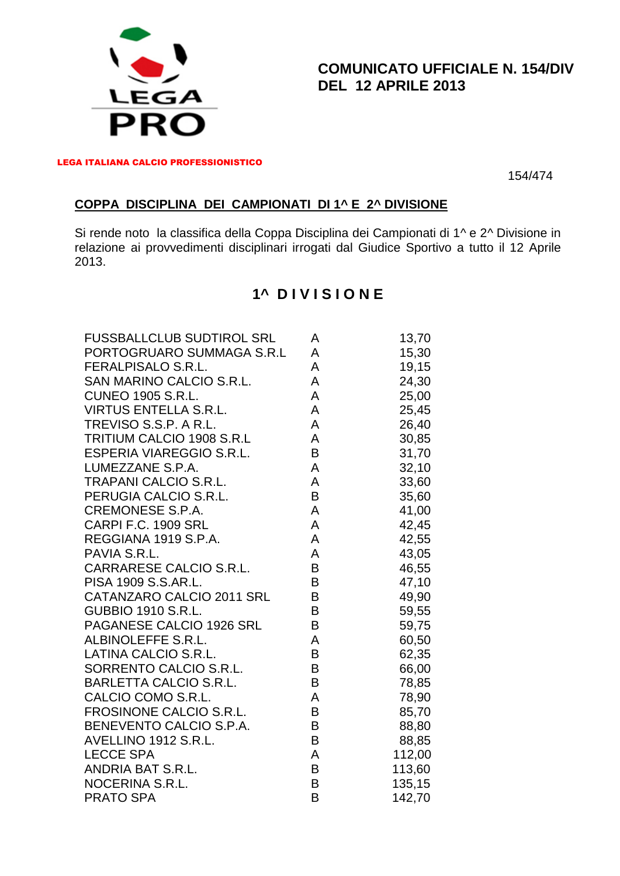

#### **COMUNICATO UFFICIALE N. 154/DIV DEL 12 APRILE 2013**

LEGA ITALIANA CALCIO PROFESSIONISTICO

154/474

#### **COPPA DISCIPLINA DEI CAMPIONATI DI 1^ E 2^ DIVISIONE**

Si rende noto la classifica della Coppa Disciplina dei Campionati di 1^ e 2^ Divisione in relazione ai provvedimenti disciplinari irrogati dal Giudice Sportivo a tutto il 12 Aprile 2013.

# **1^ D I V I S I O N E**

| <b>FUSSBALLCLUB SUDTIROL SRL</b> | A | 13,70  |
|----------------------------------|---|--------|
| PORTOGRUARO SUMMAGA S.R.L        | A | 15,30  |
| <b>FERALPISALO S.R.L.</b>        | A | 19,15  |
| SAN MARINO CALCIO S.R.L.         | A | 24,30  |
| <b>CUNEO 1905 S.R.L.</b>         | A | 25,00  |
| <b>VIRTUS ENTELLA S.R.L.</b>     | A | 25,45  |
| TREVISO S.S.P. A R.L.            | A | 26,40  |
| TRITIUM CALCIO 1908 S.R.L        | A | 30,85  |
| <b>ESPERIA VIAREGGIO S.R.L.</b>  | B | 31,70  |
| LUMEZZANE S.P.A.                 | A | 32,10  |
| <b>TRAPANI CALCIO S.R.L.</b>     | A | 33,60  |
| PERUGIA CALCIO S.R.L.            | B | 35,60  |
| <b>CREMONESE S.P.A.</b>          | A | 41,00  |
| CARPI F.C. 1909 SRL              | A | 42,45  |
| REGGIANA 1919 S.P.A.             | A | 42,55  |
| PAVIA S.R.L.                     | A | 43,05  |
| CARRARESE CALCIO S.R.L.          | B | 46,55  |
| PISA 1909 S.S.AR.L.              | B | 47,10  |
| CATANZARO CALCIO 2011 SRL        | B | 49,90  |
| <b>GUBBIO 1910 S.R.L.</b>        | B | 59,55  |
| PAGANESE CALCIO 1926 SRL         | B | 59,75  |
| ALBINOLEFFE S.R.L.               | A | 60,50  |
| LATINA CALCIO S.R.L.             | B | 62,35  |
| SORRENTO CALCIO S.R.L.           | B | 66,00  |
| <b>BARLETTA CALCIO S.R.L.</b>    | B | 78,85  |
| CALCIO COMO S.R.L.               | A | 78,90  |
| FROSINONE CALCIO S.R.L.          | B | 85,70  |
| BENEVENTO CALCIO S.P.A.          | B | 88,80  |
| AVELLINO 1912 S.R.L.             | B | 88,85  |
| <b>LECCE SPA</b>                 | A | 112,00 |
| ANDRIA BAT S.R.L.                | B | 113,60 |
| NOCERINA S.R.L.                  | B | 135,15 |
| <b>PRATO SPA</b>                 | B | 142,70 |